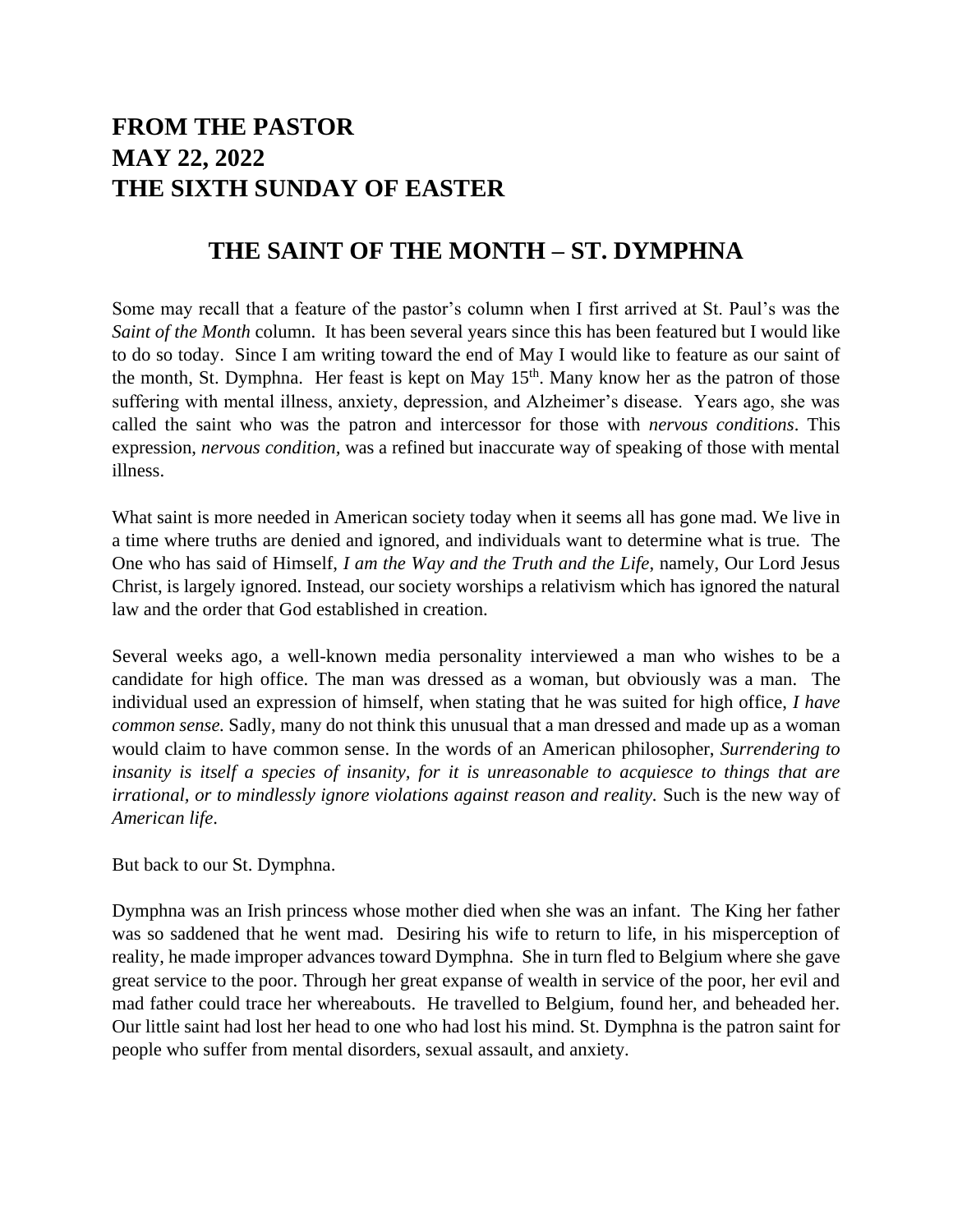## **FROM THE PASTOR MAY 22, 2022 THE SIXTH SUNDAY OF EASTER**

## **THE SAINT OF THE MONTH – ST. DYMPHNA**

Some may recall that a feature of the pastor's column when I first arrived at St. Paul's was the *Saint of the Month* column. It has been several years since this has been featured but I would like to do so today. Since I am writing toward the end of May I would like to feature as our saint of the month, St. Dymphna. Her feast is kept on May  $15<sup>th</sup>$ . Many know her as the patron of those suffering with mental illness, anxiety, depression, and Alzheimer's disease. Years ago, she was called the saint who was the patron and intercessor for those with *nervous conditions*. This expression, *nervous condition,* was a refined but inaccurate way of speaking of those with mental illness.

What saint is more needed in American society today when it seems all has gone mad. We live in a time where truths are denied and ignored, and individuals want to determine what is true. The One who has said of Himself, *I am the Way and the Truth and the Life*, namely, Our Lord Jesus Christ, is largely ignored. Instead, our society worships a relativism which has ignored the natural law and the order that God established in creation.

Several weeks ago, a well-known media personality interviewed a man who wishes to be a candidate for high office. The man was dressed as a woman, but obviously was a man. The individual used an expression of himself, when stating that he was suited for high office, *I have common sense.* Sadly, many do not think this unusual that a man dressed and made up as a woman would claim to have common sense. In the words of an American philosopher, *Surrendering to insanity is itself a species of insanity, for it is unreasonable to acquiesce to things that are irrational, or to mindlessly ignore violations against reason and reality.* Such is the new way of *American life*.

But back to our St. Dymphna.

Dymphna was an Irish princess whose mother died when she was an infant. The King her father was so saddened that he went mad. Desiring his wife to return to life, in his misperception of reality, he made improper advances toward Dymphna. She in turn fled to Belgium where she gave great service to the poor. Through her great expanse of wealth in service of the poor, her evil and mad father could trace her whereabouts. He travelled to Belgium, found her, and beheaded her. Our little saint had lost her head to one who had lost his mind. St. Dymphna is the patron saint for people who suffer from mental disorders, sexual assault, and anxiety.